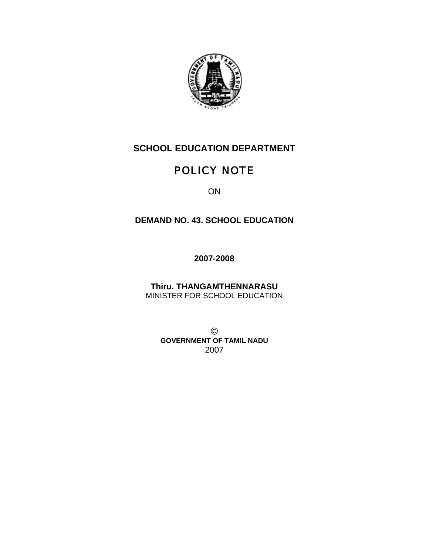

# **SCHOOL EDUCATION DEPARTMENT**

# POLICY NOTE

ON

# **DEMAND NO. 43. SCHOOL EDUCATION**

**2007-2008** 

**Thiru. THANGAMTHENNARASU**  MINISTER FOR SCHOOL EDUCATION

© **GOVERNMENT OF TAMIL NADU**  2007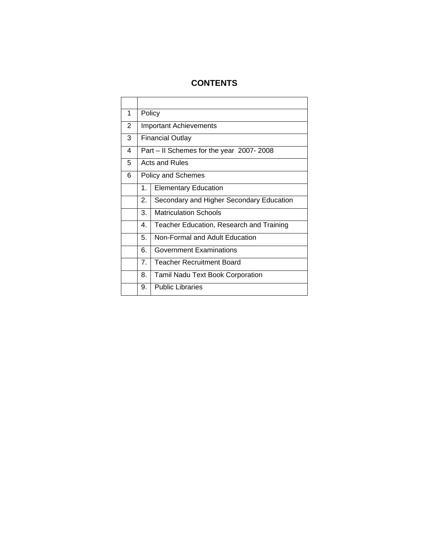# **CONTENTS**

| 1 |                | Policy                                   |
|---|----------------|------------------------------------------|
| 2 |                | <b>Important Achievements</b>            |
| 3 |                | <b>Financial Outlay</b>                  |
| 4 |                | Part – II Schemes for the year 2007-2008 |
| 5 |                | Acts and Rules                           |
| 6 |                | Policy and Schemes                       |
|   | 1.             | <b>Elementary Education</b>              |
|   | 2.             | Secondary and Higher Secondary Education |
|   | 3.             | <b>Matriculation Schools</b>             |
|   | 4.             | Teacher Education, Research and Training |
|   | 5.             | Non-Formal and Adult Education           |
|   | 6.             | <b>Government Examinations</b>           |
|   | 7 <sub>1</sub> | <b>Teacher Recruitment Board</b>         |
|   | 8.             | Tamil Nadu Text Book Corporation         |
|   | 9.             | <b>Public Libraries</b>                  |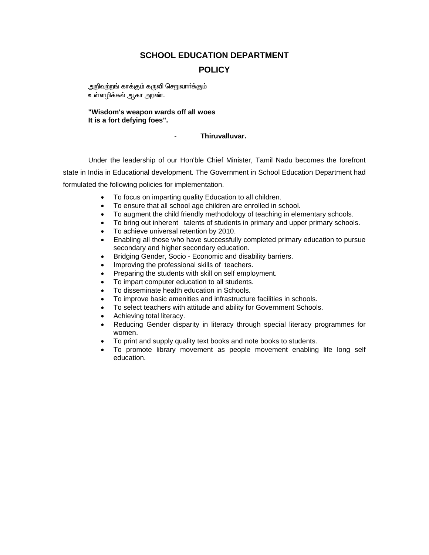# **SCHOOL EDUCATION DEPARTMENT POLICY**

அறிவற்றங் காக்கும் கருவி செறுவாா்க்கும் உள்ளழிக்கல் ஆகா அரண்.

#### **"Wisdom's weapon wards off all woes It is a fort defying foes".**

## - **Thiruvalluvar.**

Under the leadership of our Hon'ble Chief Minister, Tamil Nadu becomes the forefront state in India in Educational development. The Government in School Education Department had formulated the following policies for implementation.

- To focus on imparting quality Education to all children.
- To ensure that all school age children are enrolled in school.
- To augment the child friendly methodology of teaching in elementary schools.
- To bring out inherent talents of students in primary and upper primary schools.
- To achieve universal retention by 2010.
- Enabling all those who have successfully completed primary education to pursue secondary and higher secondary education.
- Bridging Gender, Socio Economic and disability barriers.
- Improving the professional skills of teachers.
- Preparing the students with skill on self employment.
- To impart computer education to all students.
- To disseminate health education in Schools.
- To improve basic amenities and infrastructure facilities in schools.
- To select teachers with attitude and ability for Government Schools.
- Achieving total literacy.
- Reducing Gender disparity in literacy through special literacy programmes for women.
- To print and supply quality text books and note books to students.
- To promote library movement as people movement enabling life long self education.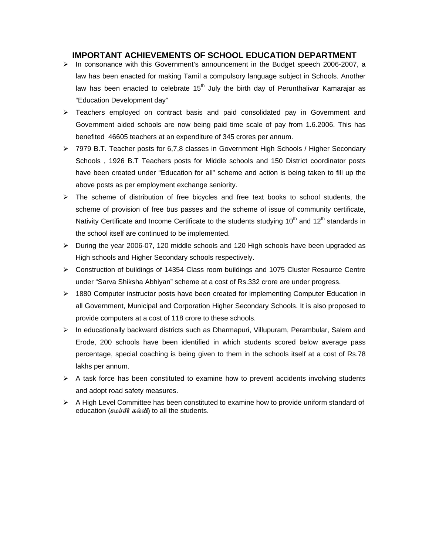## **IMPORTANT ACHIEVEMENTS OF SCHOOL EDUCATION DEPARTMENT**

- $\triangleright$  In consonance with this Government's announcement in the Budget speech 2006-2007, a law has been enacted for making Tamil a compulsory language subject in Schools. Another law has been enacted to celebrate  $15<sup>th</sup>$  July the birth day of Perunthalivar Kamarajar as "Education Development day"
- $\triangleright$  Teachers employed on contract basis and paid consolidated pay in Government and Government aided schools are now being paid time scale of pay from 1.6.2006. This has benefited 46605 teachers at an expenditure of 345 crores per annum.
- ¾ 7979 B.T. Teacher posts for 6,7,8 classes in Government High Schools / Higher Secondary Schools , 1926 B.T Teachers posts for Middle schools and 150 District coordinator posts have been created under "Education for all" scheme and action is being taken to fill up the above posts as per employment exchange seniority.
- $\triangleright$  The scheme of distribution of free bicycles and free text books to school students, the scheme of provision of free bus passes and the scheme of issue of community certificate, Nativity Certificate and Income Certificate to the students studying  $10<sup>th</sup>$  and  $12<sup>th</sup>$  standards in the school itself are continued to be implemented.
- ¾ During the year 2006-07, 120 middle schools and 120 High schools have been upgraded as High schools and Higher Secondary schools respectively.
- ¾ Construction of buildings of 14354 Class room buildings and 1075 Cluster Resource Centre under "Sarva Shiksha Abhiyan" scheme at a cost of Rs.332 crore are under progress.
- ¾ 1880 Computer instructor posts have been created for implementing Computer Education in all Government, Municipal and Corporation Higher Secondary Schools. It is also proposed to provide computers at a cost of 118 crore to these schools.
- ¾ In educationally backward districts such as Dharmapuri, Villupuram, Perambular, Salem and Erode, 200 schools have been identified in which students scored below average pass percentage, special coaching is being given to them in the schools itself at a cost of Rs.78 lakhs per annum.
- $\triangleright$  A task force has been constituted to examine how to prevent accidents involving students and adopt road safety measures.
- $\triangleright$  A High Level Committee has been constituted to examine how to provide uniform standard of education (சமச்சீர் கல்வி) to all the students.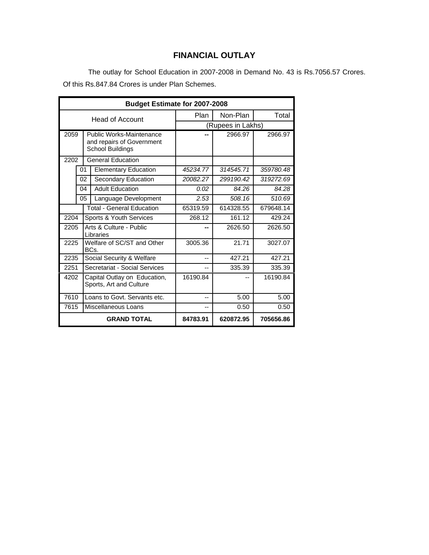# **FINANCIAL OUTLAY**

 The outlay for School Education in 2007-2008 in Demand No. 43 is Rs.7056.57 Crores. Of this Rs.847.84 Crores is under Plan Schemes.

|                                                                                   | <b>Budget Estimate for 2007-2008</b>                     |                                      |           |                   |           |  |
|-----------------------------------------------------------------------------------|----------------------------------------------------------|--------------------------------------|-----------|-------------------|-----------|--|
|                                                                                   |                                                          | <b>Head of Account</b>               | Plan      | Non-Plan          | Total     |  |
|                                                                                   |                                                          |                                      |           | (Rupees in Lakhs) |           |  |
| 2059<br>Public Works-Maintenance<br>and repairs of Government<br>School Buildings |                                                          |                                      | 2966.97   | 2966.97           |           |  |
| 2202                                                                              |                                                          | <b>General Education</b>             |           |                   |           |  |
|                                                                                   | 01                                                       | <b>Elementary Education</b>          | 45234.77  | 314545.71         | 359780.48 |  |
|                                                                                   | 02                                                       | Secondary Education                  | 20082.27  | 299190.42         | 319272.69 |  |
|                                                                                   | 04                                                       | <b>Adult Education</b>               | 0.02      | 84.26             | 84.28     |  |
|                                                                                   | 05                                                       | Language Development                 | 2.53      | 508.16            | 510.69    |  |
| <b>Total - General Education</b>                                                  |                                                          | 65319.59                             | 614328.55 | 679648.14         |           |  |
| 2204                                                                              |                                                          | Sports & Youth Services              | 268.12    | 161.12            | 429.24    |  |
| 2205                                                                              |                                                          | Arts & Culture - Public<br>Libraries | --        | 2626.50           | 2626.50   |  |
| 2225                                                                              |                                                          | Welfare of SC/ST and Other<br>BCs.   | 3005.36   | 21.71             | 3027.07   |  |
| 2235                                                                              |                                                          | Social Security & Welfare            | --        | 427.21            | 427.21    |  |
|                                                                                   | Secretariat - Social Services<br>2251                    |                                      | --        | 335.39            | 335.39    |  |
| 4202<br>Sports, Art and Culture                                                   |                                                          | Capital Outlay on Education,         | 16190.84  |                   | 16190.84  |  |
| 7610                                                                              |                                                          | Loans to Govt. Servants etc.         | --        | 5.00              | 5.00      |  |
| 7615                                                                              |                                                          | Miscellaneous Loans                  | --        | 0.50              | 0.50      |  |
|                                                                                   | <b>GRAND TOTAL</b><br>84783.91<br>620872.95<br>705656.86 |                                      |           |                   |           |  |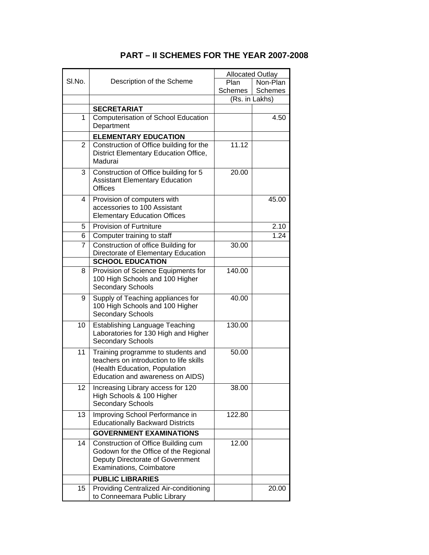|                |                                                                                                                                                    | <b>Allocated Outlay</b> |                |  |
|----------------|----------------------------------------------------------------------------------------------------------------------------------------------------|-------------------------|----------------|--|
| SI.No.         | Description of the Scheme                                                                                                                          | Plan                    | Non-Plan       |  |
|                |                                                                                                                                                    | Schemes                 | <b>Schemes</b> |  |
|                |                                                                                                                                                    |                         | (Rs. in Lakhs) |  |
|                | <b>SECRETARIAT</b>                                                                                                                                 |                         |                |  |
| 1              | <b>Computerisation of School Education</b><br>Department                                                                                           |                         | 4.50           |  |
|                | <b>ELEMENTARY EDUCATION</b>                                                                                                                        |                         |                |  |
| $\overline{2}$ | Construction of Office building for the<br>District Elementary Education Office,<br>Madurai                                                        | 11.12                   |                |  |
| 3              | Construction of Office building for 5<br><b>Assistant Elementary Education</b><br><b>Offices</b>                                                   | 20.00                   |                |  |
| 4              | Provision of computers with<br>accessories to 100 Assistant<br><b>Elementary Education Offices</b>                                                 |                         | 45.00          |  |
| 5              | <b>Provision of Furtniture</b>                                                                                                                     |                         | 2.10           |  |
| 6              | Computer training to staff                                                                                                                         |                         | 1.24           |  |
| 7              | Construction of office Building for                                                                                                                | 30.00                   |                |  |
|                | Directorate of Elementary Education                                                                                                                |                         |                |  |
|                | <b>SCHOOL EDUCATION</b>                                                                                                                            |                         |                |  |
| 8              | Provision of Science Equipments for<br>100 High Schools and 100 Higher<br><b>Secondary Schools</b>                                                 | 140.00                  |                |  |
| 9              | Supply of Teaching appliances for<br>100 High Schools and 100 Higher<br>Secondary Schools                                                          | 40.00                   |                |  |
| 10             | <b>Establishing Language Teaching</b><br>Laboratories for 130 High and Higher<br>Secondary Schools                                                 | 130.00                  |                |  |
| 11             | Training programme to students and<br>teachers on introduction to life skills<br>(Health Education, Population<br>Education and awareness on AIDS) | 50.00                   |                |  |
| 12             | Increasing Library access for 120<br>High Schools & 100 Higher<br><b>Secondary Schools</b>                                                         | 38.00                   |                |  |
| 13             | Improving School Performance in<br><b>Educationally Backward Districts</b>                                                                         | 122.80                  |                |  |
|                | <b>GOVERNMENT EXAMINATIONS</b>                                                                                                                     |                         |                |  |
| 14             | Construction of Office Building cum<br>Godown for the Office of the Regional<br>Deputy Directorate of Government<br>Examinations, Coimbatore       | 12.00                   |                |  |
|                | <b>PUBLIC LIBRARIES</b>                                                                                                                            |                         |                |  |
| 15             | Providing Centralized Air-conditioning<br>to Conneemara Public Library                                                                             |                         | 20.00          |  |

# **PART – II SCHEMES FOR THE YEAR 2007-2008**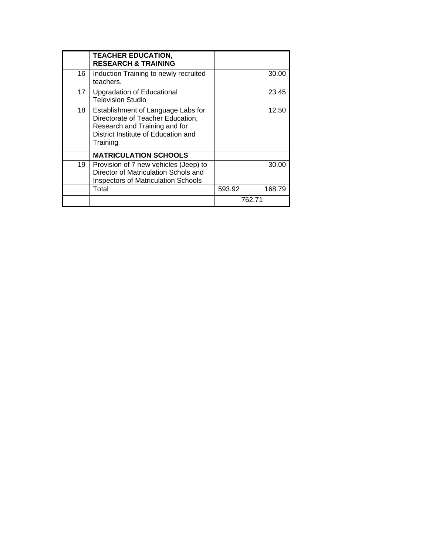|    | <b>TEACHER EDUCATION,</b><br><b>RESEARCH &amp; TRAINING</b>                                                                                                 |        |        |
|----|-------------------------------------------------------------------------------------------------------------------------------------------------------------|--------|--------|
| 16 | Induction Training to newly recruited<br>teachers.                                                                                                          |        | 30.00  |
| 17 | <b>Upgradation of Educational</b><br><b>Television Studio</b>                                                                                               |        | 23.45  |
| 18 | Establishment of Language Labs for<br>Directorate of Teacher Education,<br>Research and Training and for<br>District Institute of Education and<br>Training |        | 12.50  |
|    | <b>MATRICULATION SCHOOLS</b>                                                                                                                                |        |        |
| 19 | Provision of 7 new vehicles (Jeep) to<br>Director of Matriculation Schols and<br><b>Inspectors of Matriculation Schools</b>                                 |        | 30.00  |
|    | Total                                                                                                                                                       | 593.92 | 168.79 |
|    |                                                                                                                                                             | 762.71 |        |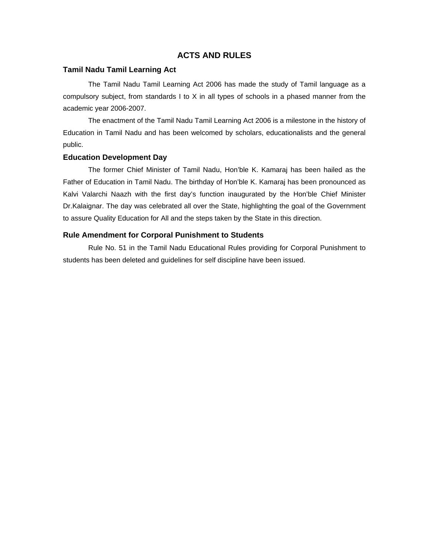## **ACTS AND RULES**

#### **Tamil Nadu Tamil Learning Act**

The Tamil Nadu Tamil Learning Act 2006 has made the study of Tamil language as a compulsory subject, from standards I to X in all types of schools in a phased manner from the academic year 2006-2007.

The enactment of the Tamil Nadu Tamil Learning Act 2006 is a milestone in the history of Education in Tamil Nadu and has been welcomed by scholars, educationalists and the general public.

#### **Education Development Day**

 The former Chief Minister of Tamil Nadu, Hon'ble K. Kamaraj has been hailed as the Father of Education in Tamil Nadu. The birthday of Hon'ble K. Kamaraj has been pronounced as Kalvi Valarchi Naazh with the first day's function inaugurated by the Hon'ble Chief Minister Dr.Kalaignar. The day was celebrated all over the State, highlighting the goal of the Government to assure Quality Education for All and the steps taken by the State in this direction.

#### **Rule Amendment for Corporal Punishment to Students**

 Rule No. 51 in the Tamil Nadu Educational Rules providing for Corporal Punishment to students has been deleted and guidelines for self discipline have been issued.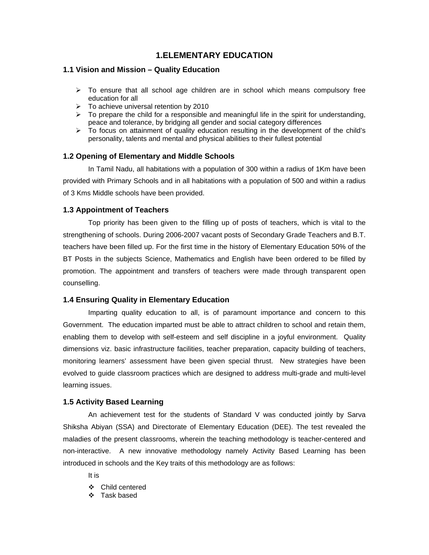# **1.ELEMENTARY EDUCATION**

## **1.1 Vision and Mission – Quality Education**

- $\triangleright$  To ensure that all school age children are in school which means compulsory free education for all
- $\geq$  To achieve universal retention by 2010
- $\triangleright$  To prepare the child for a responsible and meaningful life in the spirit for understanding, peace and tolerance, by bridging all gender and social category differences
- ¾ To focus on attainment of quality education resulting in the development of the child's personality, talents and mental and physical abilities to their fullest potential

## **1.2 Opening of Elementary and Middle Schools**

In Tamil Nadu, all habitations with a population of 300 within a radius of 1Km have been provided with Primary Schools and in all habitations with a population of 500 and within a radius of 3 Kms Middle schools have been provided.

### **1.3 Appointment of Teachers**

Top priority has been given to the filling up of posts of teachers, which is vital to the strengthening of schools. During 2006-2007 vacant posts of Secondary Grade Teachers and B.T. teachers have been filled up. For the first time in the history of Elementary Education 50% of the BT Posts in the subjects Science, Mathematics and English have been ordered to be filled by promotion. The appointment and transfers of teachers were made through transparent open counselling.

#### **1.4 Ensuring Quality in Elementary Education**

Imparting quality education to all, is of paramount importance and concern to this Government. The education imparted must be able to attract children to school and retain them, enabling them to develop with self-esteem and self discipline in a joyful environment. Quality dimensions viz. basic infrastructure facilities, teacher preparation, capacity building of teachers, monitoring learners' assessment have been given special thrust. New strategies have been evolved to guide classroom practices which are designed to address multi-grade and multi-level learning issues.

#### **1.5 Activity Based Learning**

An achievement test for the students of Standard V was conducted jointly by Sarva Shiksha Abiyan (SSA) and Directorate of Elementary Education (DEE). The test revealed the maladies of the present classrooms, wherein the teaching methodology is teacher-centered and non-interactive. A new innovative methodology namely Activity Based Learning has been introduced in schools and the Key traits of this methodology are as follows:

It is

- Child centered
- Task based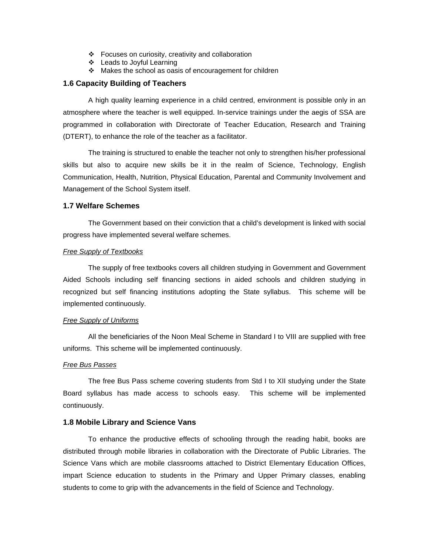- Focuses on curiosity, creativity and collaboration
- Leads to Joyful Learning
- ❖ Makes the school as oasis of encouragement for children

#### **1.6 Capacity Building of Teachers**

 A high quality learning experience in a child centred, environment is possible only in an atmosphere where the teacher is well equipped. In-service trainings under the aegis of SSA are programmed in collaboration with Directorate of Teacher Education, Research and Training (DTERT), to enhance the role of the teacher as a facilitator.

 The training is structured to enable the teacher not only to strengthen his/her professional skills but also to acquire new skills be it in the realm of Science, Technology, English Communication, Health, Nutrition, Physical Education, Parental and Community Involvement and Management of the School System itself.

## **1.7 Welfare Schemes**

 The Government based on their conviction that a child's development is linked with social progress have implemented several welfare schemes.

#### *Free Supply of Textbooks*

 The supply of free textbooks covers all children studying in Government and Government Aided Schools including self financing sections in aided schools and children studying in recognized but self financing institutions adopting the State syllabus. This scheme will be implemented continuously.

#### *Free Supply of Uniforms*

 All the beneficiaries of the Noon Meal Scheme in Standard I to VIII are supplied with free uniforms. This scheme will be implemented continuously.

#### *Free Bus Passes*

 The free Bus Pass scheme covering students from Std I to XII studying under the State Board syllabus has made access to schools easy. This scheme will be implemented continuously.

#### **1.8 Mobile Library and Science Vans**

 To enhance the productive effects of schooling through the reading habit, books are distributed through mobile libraries in collaboration with the Directorate of Public Libraries. The Science Vans which are mobile classrooms attached to District Elementary Education Offices, impart Science education to students in the Primary and Upper Primary classes, enabling students to come to grip with the advancements in the field of Science and Technology.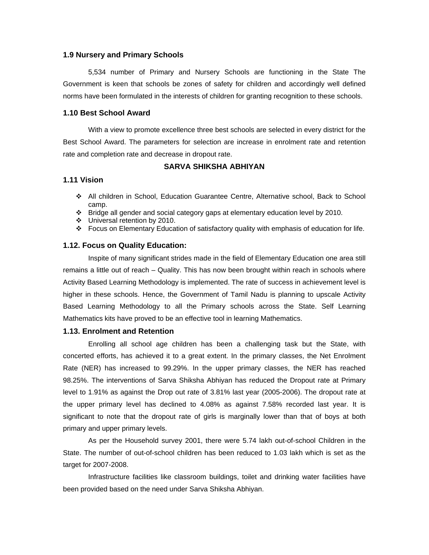#### **1.9 Nursery and Primary Schools**

 5,534 number of Primary and Nursery Schools are functioning in the State The Government is keen that schools be zones of safety for children and accordingly well defined norms have been formulated in the interests of children for granting recognition to these schools.

#### **1.10 Best School Award**

 With a view to promote excellence three best schools are selected in every district for the Best School Award. The parameters for selection are increase in enrolment rate and retention rate and completion rate and decrease in dropout rate.

#### **SARVA SHIKSHA ABHIYAN**

#### **1.11 Vision**

- All children in School, Education Guarantee Centre, Alternative school, Back to School camp.
- \* Bridge all gender and social category gaps at elementary education level by 2010.
- Universal retention by 2010.
- Focus on Elementary Education of satisfactory quality with emphasis of education for life.

#### **1.12. Focus on Quality Education:**

 Inspite of many significant strides made in the field of Elementary Education one area still remains a little out of reach – Quality. This has now been brought within reach in schools where Activity Based Learning Methodology is implemented. The rate of success in achievement level is higher in these schools. Hence, the Government of Tamil Nadu is planning to upscale Activity Based Learning Methodology to all the Primary schools across the State. Self Learning Mathematics kits have proved to be an effective tool in learning Mathematics.

#### **1.13. Enrolment and Retention**

Enrolling all school age children has been a challenging task but the State, with concerted efforts, has achieved it to a great extent. In the primary classes, the Net Enrolment Rate (NER) has increased to 99.29%. In the upper primary classes, the NER has reached 98.25%. The interventions of Sarva Shiksha Abhiyan has reduced the Dropout rate at Primary level to 1.91% as against the Drop out rate of 3.81% last year (2005-2006). The dropout rate at the upper primary level has declined to 4.08% as against 7.58% recorded last year. It is significant to note that the dropout rate of girls is marginally lower than that of boys at both primary and upper primary levels.

 As per the Household survey 2001, there were 5.74 lakh out-of-school Children in the State. The number of out-of-school children has been reduced to 1.03 lakh which is set as the target for 2007-2008.

Infrastructure facilities like classroom buildings, toilet and drinking water facilities have been provided based on the need under Sarva Shiksha Abhiyan.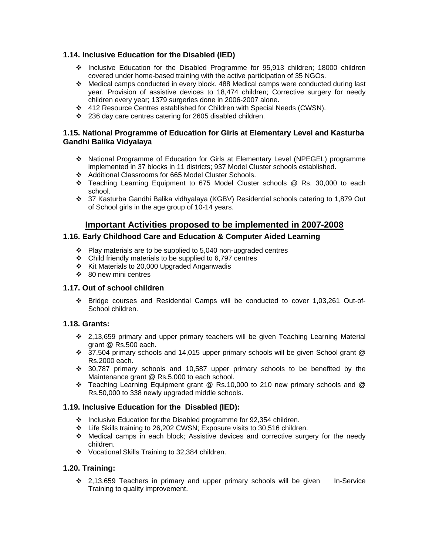## **1.14. Inclusive Education for the Disabled (IED)**

- Inclusive Education for the Disabled Programme for 95,913 children; 18000 children covered under home-based training with the active participation of 35 NGOs.
- Medical camps conducted in every block. 488 Medical camps were conducted during last year. Provision of assistive devices to 18,474 children; Corrective surgery for needy children every year; 1379 surgeries done in 2006-2007 alone.
- 412 Resource Centres established for Children with Special Needs (CWSN).
- 236 day care centres catering for 2605 disabled children.

## **1.15. National Programme of Education for Girls at Elementary Level and Kasturba Gandhi Balika Vidyalaya**

- National Programme of Education for Girls at Elementary Level (NPEGEL) programme implemented in 37 blocks in 11 districts; 937 Model Cluster schools established.
- Additional Classrooms for 665 Model Cluster Schools.
- Teaching Learning Equipment to 675 Model Cluster schools @ Rs. 30,000 to each school.
- 37 Kasturba Gandhi Balika vidhyalaya (KGBV) Residential schools catering to 1,879 Out of School girls in the age group of 10-14 years.

## **Important Activities proposed to be implemented in 2007-2008**

## **1.16. Early Childhood Care and Education & Computer Aided Learning**

- $\div$  Play materials are to be supplied to 5,040 non-upgraded centres
- $\div$  Child friendly materials to be supplied to 6,797 centres
- Kit Materials to 20,000 Upgraded Anganwadis
- ❖ 80 new mini centres

## **1.17. Out of school children**

 Bridge courses and Residential Camps will be conducted to cover 1,03,261 Out-of-School children.

## **1.18. Grants:**

- 2,13,659 primary and upper primary teachers will be given Teaching Learning Material grant @ Rs.500 each.
- $\cdot \cdot$  37.504 primary schools and 14,015 upper primary schools will be given School grant @ Rs.2000 each.
- 30,787 primary schools and 10,587 upper primary schools to be benefited by the Maintenance grant @ Rs.5,000 to each school.
- $\div$  Teaching Learning Equipment grant @ Rs.10,000 to 210 new primary schools and @ Rs.50,000 to 338 newly upgraded middle schools.

## **1.19. Inclusive Education for the Disabled (IED):**

- $\cdot$  Inclusive Education for the Disabled programme for 92,354 children.
- Life Skills training to 26,202 CWSN; Exposure visits to 30,516 children.
- Medical camps in each block; Assistive devices and corrective surgery for the needy children.
- Vocational Skills Training to 32,384 children.

## **1.20. Training:**

 $\div$  2,13,659 Teachers in primary and upper primary schools will be given In-Service Training to quality improvement.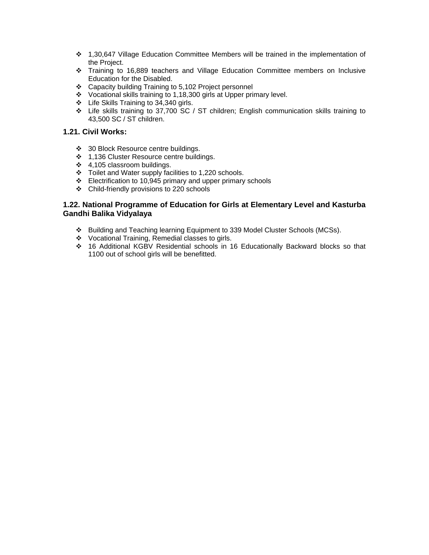- 1,30,647 Village Education Committee Members will be trained in the implementation of the Project.
- \* Training to 16,889 teachers and Village Education Committee members on Inclusive Education for the Disabled.
- ❖ Capacity building Training to 5,102 Project personnel
- Vocational skills training to 1,18,300 girls at Upper primary level.
- $\div$  Life Skills Training to 34,340 girls.
- Life skills training to 37,700 SC / ST children; English communication skills training to 43,500 SC / ST children.

## **1.21. Civil Works:**

- ◆ 30 Block Resource centre buildings.
- 1,136 Cluster Resource centre buildings.
- $\div$  4,105 classroom buildings.
- \* Toilet and Water supply facilities to 1,220 schools.
- Electrification to 10,945 primary and upper primary schools
- Child-friendly provisions to 220 schools

## **1.22. National Programme of Education for Girls at Elementary Level and Kasturba Gandhi Balika Vidyalaya**

- Building and Teaching learning Equipment to 339 Model Cluster Schools (MCSs).
- Vocational Training, Remedial classes to girls.
- 16 Additional KGBV Residential schools in 16 Educationally Backward blocks so that 1100 out of school girls will be benefitted.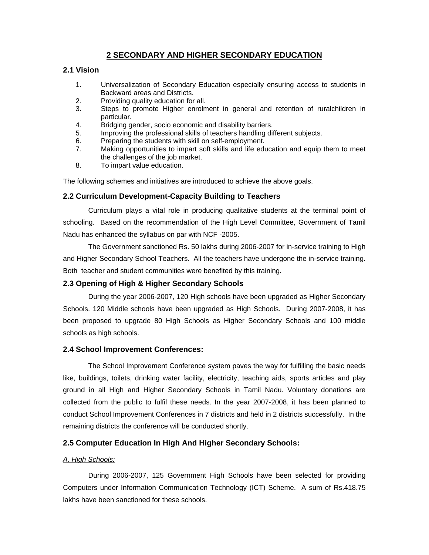# **2 SECONDARY AND HIGHER SECONDARY EDUCATION**

## **2.1 Vision**

- 1. Universalization of Secondary Education especially ensuring access to students in Backward areas and Districts.
- 2. Providing quality education for all.
- 3. Steps to promote Higher enrolment in general and retention of ruralchildren in particular.
- 4. Bridging gender, socio economic and disability barriers.
- 5. Improving the professional skills of teachers handling different subjects.
- 6. Preparing the students with skill on self-employment.
- 7. Making opportunities to impart soft skills and life education and equip them to meet the challenges of the job market.
- 8. To impart value education.

The following schemes and initiatives are introduced to achieve the above goals.

## **2.2 Curriculum Development-Capacity Building to Teachers**

 Curriculum plays a vital role in producing qualitative students at the terminal point of schooling. Based on the recommendation of the High Level Committee, Government of Tamil Nadu has enhanced the syllabus on par with NCF -2005.

 The Government sanctioned Rs. 50 lakhs during 2006-2007 for in-service training to High and Higher Secondary School Teachers. All the teachers have undergone the in-service training. Both teacher and student communities were benefited by this training.

## **2.3 Opening of High & Higher Secondary Schools**

During the year 2006-2007, 120 High schools have been upgraded as Higher Secondary Schools. 120 Middle schools have been upgraded as High Schools. During 2007-2008, it has been proposed to upgrade 80 High Schools as Higher Secondary Schools and 100 middle schools as high schools.

## **2.4 School Improvement Conferences:**

 The School Improvement Conference system paves the way for fulfilling the basic needs like, buildings, toilets, drinking water facility, electricity, teaching aids, sports articles and play ground in all High and Higher Secondary Schools in Tamil Nadu. Voluntary donations are collected from the public to fulfil these needs. In the year 2007-2008, it has been planned to conduct School Improvement Conferences in 7 districts and held in 2 districts successfully. In the remaining districts the conference will be conducted shortly.

## **2.5 Computer Education In High And Higher Secondary Schools:**

## *A. High Schools:*

 During 2006-2007, 125 Government High Schools have been selected for providing Computers under Information Communication Technology (ICT) Scheme. A sum of Rs.418.75 lakhs have been sanctioned for these schools.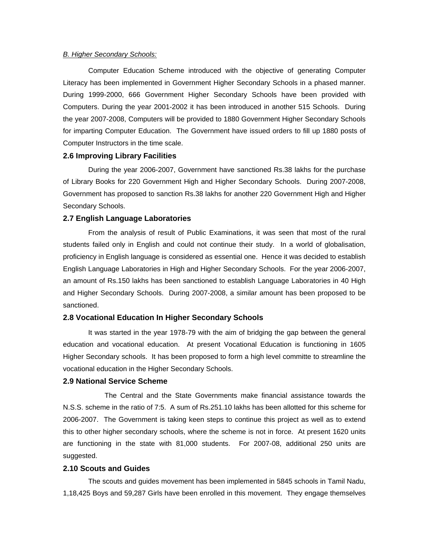#### *B. Higher Secondary Schools:*

 Computer Education Scheme introduced with the objective of generating Computer Literacy has been implemented in Government Higher Secondary Schools in a phased manner. During 1999-2000, 666 Government Higher Secondary Schools have been provided with Computers. During the year 2001-2002 it has been introduced in another 515 Schools. During the year 2007-2008, Computers will be provided to 1880 Government Higher Secondary Schools for imparting Computer Education. The Government have issued orders to fill up 1880 posts of Computer Instructors in the time scale.

#### **2.6 Improving Library Facilities**

 During the year 2006-2007, Government have sanctioned Rs.38 lakhs for the purchase of Library Books for 220 Government High and Higher Secondary Schools. During 2007-2008, Government has proposed to sanction Rs.38 lakhs for another 220 Government High and Higher Secondary Schools.

#### **2.7 English Language Laboratories**

 From the analysis of result of Public Examinations, it was seen that most of the rural students failed only in English and could not continue their study. In a world of globalisation, proficiency in English language is considered as essential one. Hence it was decided to establish English Language Laboratories in High and Higher Secondary Schools. For the year 2006-2007, an amount of Rs.150 lakhs has been sanctioned to establish Language Laboratories in 40 High and Higher Secondary Schools. During 2007-2008, a similar amount has been proposed to be sanctioned.

#### **2.8 Vocational Education In Higher Secondary Schools**

 It was started in the year 1978-79 with the aim of bridging the gap between the general education and vocational education. At present Vocational Education is functioning in 1605 Higher Secondary schools. It has been proposed to form a high level committe to streamline the vocational education in the Higher Secondary Schools.

## **2.9 National Service Scheme**

 The Central and the State Governments make financial assistance towards the N.S.S. scheme in the ratio of 7:5. A sum of Rs.251.10 lakhs has been allotted for this scheme for 2006-2007. The Government is taking keen steps to continue this project as well as to extend this to other higher secondary schools, where the scheme is not in force. At present 1620 units are functioning in the state with 81,000 students. For 2007-08, additional 250 units are suggested.

#### **2.10 Scouts and Guides**

The scouts and guides movement has been implemented in 5845 schools in Tamil Nadu, 1,18,425 Boys and 59,287 Girls have been enrolled in this movement. They engage themselves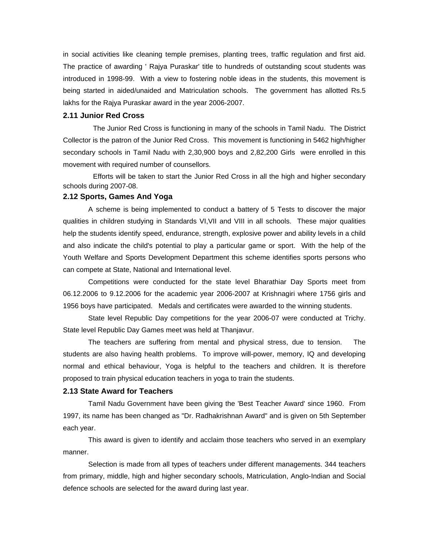in social activities like cleaning temple premises, planting trees, traffic regulation and first aid. The practice of awarding ' Rajya Puraskar' title to hundreds of outstanding scout students was introduced in 1998-99. With a view to fostering noble ideas in the students, this movement is being started in aided/unaided and Matriculation schools. The government has allotted Rs.5 lakhs for the Rajya Puraskar award in the year 2006-2007.

## **2.11 Junior Red Cross**

 The Junior Red Cross is functioning in many of the schools in Tamil Nadu. The District Collector is the patron of the Junior Red Cross. This movement is functioning in 5462 high/higher secondary schools in Tamil Nadu with 2,30,900 boys and 2,82,200 Girls were enrolled in this movement with required number of counsellors.

 Efforts will be taken to start the Junior Red Cross in all the high and higher secondary schools during 2007-08.

## **2.12 Sports, Games And Yoga**

 A scheme is being implemented to conduct a battery of 5 Tests to discover the major qualities in children studying in Standards VI,VII and VIII in all schools. These major qualities help the students identify speed, endurance, strength, explosive power and ability levels in a child and also indicate the child's potential to play a particular game or sport. With the help of the Youth Welfare and Sports Development Department this scheme identifies sports persons who can compete at State, National and International level.

 Competitions were conducted for the state level Bharathiar Day Sports meet from 06.12.2006 to 9.12.2006 for the academic year 2006-2007 at Krishnagiri where 1756 girls and 1956 boys have participated. Medals and certificates were awarded to the winning students.

 State level Republic Day competitions for the year 2006-07 were conducted at Trichy. State level Republic Day Games meet was held at Thanjavur.

 The teachers are suffering from mental and physical stress, due to tension. The students are also having health problems. To improve will-power, memory, IQ and developing normal and ethical behaviour, Yoga is helpful to the teachers and children. It is therefore proposed to train physical education teachers in yoga to train the students.

#### **2.13 State Award for Teachers**

 Tamil Nadu Government have been giving the 'Best Teacher Award' since 1960. From 1997, its name has been changed as "Dr. Radhakrishnan Award" and is given on 5th September each year.

 This award is given to identify and acclaim those teachers who served in an exemplary manner.

 Selection is made from all types of teachers under different managements. 344 teachers from primary, middle, high and higher secondary schools, Matriculation, Anglo-Indian and Social defence schools are selected for the award during last year.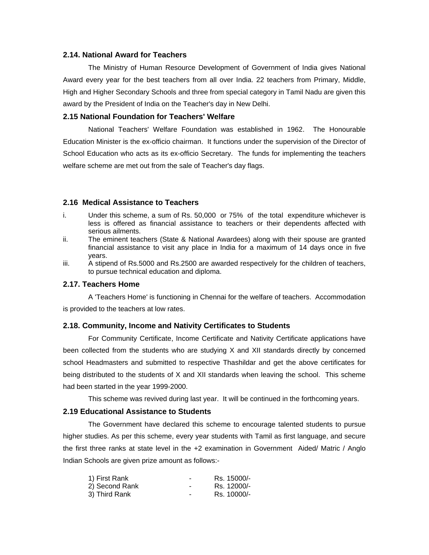#### **2.14. National Award for Teachers**

The Ministry of Human Resource Development of Government of India gives National Award every year for the best teachers from all over India. 22 teachers from Primary, Middle, High and Higher Secondary Schools and three from special category in Tamil Nadu are given this award by the President of India on the Teacher's day in New Delhi.

#### **2.15 National Foundation for Teachers' Welfare**

National Teachers' Welfare Foundation was established in 1962. The Honourable Education Minister is the ex-officio chairman. It functions under the supervision of the Director of School Education who acts as its ex-officio Secretary. The funds for implementing the teachers welfare scheme are met out from the sale of Teacher's day flags.

#### **2.16 Medical Assistance to Teachers**

- i. Under this scheme, a sum of Rs. 50,000 or 75% of the total expenditure whichever is less is offered as financial assistance to teachers or their dependents affected with serious ailments.
- ii. The eminent teachers (State & National Awardees) along with their spouse are granted financial assistance to visit any place in India for a maximum of 14 days once in five years.
- iii. A stipend of Rs.5000 and Rs.2500 are awarded respectively for the children of teachers, to pursue technical education and diploma.

## **2.17. Teachers Home**

A 'Teachers Home' is functioning in Chennai for the welfare of teachers. Accommodation is provided to the teachers at low rates.

#### **2.18. Community, Income and Nativity Certificates to Students**

 For Community Certificate, Income Certificate and Nativity Certificate applications have been collected from the students who are studying X and XII standards directly by concerned school Headmasters and submitted to respective Thashildar and get the above certificates for being distributed to the students of X and XII standards when leaving the school. This scheme had been started in the year 1999-2000.

This scheme was revived during last year. It will be continued in the forthcoming years.

#### **2.19 Educational Assistance to Students**

The Government have declared this scheme to encourage talented students to pursue higher studies. As per this scheme, every year students with Tamil as first language, and secure the first three ranks at state level in the +2 examination in Government Aided/ Matric / Anglo Indian Schools are given prize amount as follows:-

| 1) First Rank  | ۰ | Rs. 15000/- |
|----------------|---|-------------|
| 2) Second Rank | ٠ | Rs. 12000/- |
| 3) Third Rank  | ۰ | Rs. 10000/- |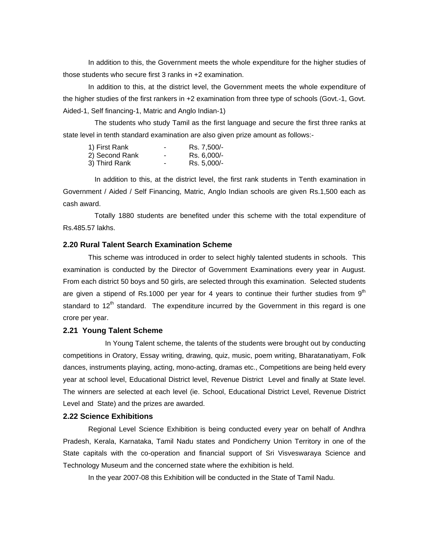In addition to this, the Government meets the whole expenditure for the higher studies of those students who secure first 3 ranks in +2 examination.

In addition to this, at the district level, the Government meets the whole expenditure of the higher studies of the first rankers in +2 examination from three type of schools (Govt.-1, Govt. Aided-1, Self financing-1, Matric and Anglo Indian-1)

The students who study Tamil as the first language and secure the first three ranks at state level in tenth standard examination are also given prize amount as follows:-

| 1) First Rank  | ۰                        | Rs. 7,500/- |
|----------------|--------------------------|-------------|
| 2) Second Rank | $\overline{\phantom{a}}$ | Rs. 6,000/- |
| 3) Third Rank  | ٠                        | Rs. 5,000/- |

In addition to this, at the district level, the first rank students in Tenth examination in Government / Aided / Self Financing, Matric, Anglo Indian schools are given Rs.1,500 each as cash award.

Totally 1880 students are benefited under this scheme with the total expenditure of Rs.485.57 lakhs.

## **2.20 Rural Talent Search Examination Scheme**

This scheme was introduced in order to select highly talented students in schools. This examination is conducted by the Director of Government Examinations every year in August. From each district 50 boys and 50 girls, are selected through this examination. Selected students are given a stipend of Rs.1000 per year for 4 years to continue their further studies from  $9<sup>th</sup>$ standard to  $12<sup>th</sup>$  standard. The expenditure incurred by the Government in this regard is one crore per year.

#### **2.21 Young Talent Scheme**

In Young Talent scheme, the talents of the students were brought out by conducting competitions in Oratory, Essay writing, drawing, quiz, music, poem writing, Bharatanatiyam, Folk dances, instruments playing, acting, mono-acting, dramas etc., Competitions are being held every year at school level, Educational District level, Revenue District Level and finally at State level. The winners are selected at each level (ie. School, Educational District Level, Revenue District Level and State) and the prizes are awarded.

## **2.22 Science Exhibitions**

 Regional Level Science Exhibition is being conducted every year on behalf of Andhra Pradesh, Kerala, Karnataka, Tamil Nadu states and Pondicherry Union Territory in one of the State capitals with the co-operation and financial support of Sri Visveswaraya Science and Technology Museum and the concerned state where the exhibition is held.

In the year 2007-08 this Exhibition will be conducted in the State of Tamil Nadu.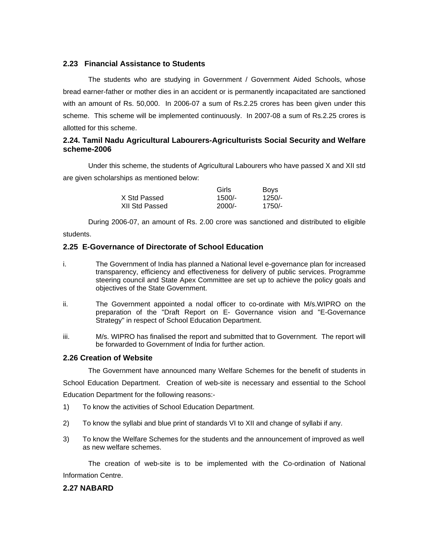## **2.23 Financial Assistance to Students**

The students who are studying in Government / Government Aided Schools, whose bread earner-father or mother dies in an accident or is permanently incapacitated are sanctioned with an amount of Rs. 50,000. In 2006-07 a sum of Rs.2.25 crores has been given under this scheme. This scheme will be implemented continuously. In 2007-08 a sum of Rs.2.25 crores is allotted for this scheme.

## **2.24. Tamil Nadu Agricultural Labourers-Agriculturists Social Security and Welfare scheme-2006**

Under this scheme, the students of Agricultural Labourers who have passed X and XII std are given scholarships as mentioned below:

|                | Girls    | <b>Boys</b> |
|----------------|----------|-------------|
| X Std Passed   | $1500/-$ | $1250/-$    |
| XII Std Passed | $2000/-$ | $1750/-$    |

During 2006-07, an amount of Rs. 2.00 crore was sanctioned and distributed to eligible

students.

## **2.25 E-Governance of Directorate of School Education**

- i. The Government of India has planned a National level e-governance plan for increased transparency, efficiency and effectiveness for delivery of public services. Programme steering council and State Apex Committee are set up to achieve the policy goals and objectives of the State Government.
- ii. The Government appointed a nodal officer to co-ordinate with M/s.WIPRO on the preparation of the "Draft Report on E- Governance vision and "E-Governance Strategy" in respect of School Education Department.
- iii. M/s. WIPRO has finalised the report and submitted that to Government. The report will be forwarded to Government of India for further action.

#### **2.26 Creation of Website**

The Government have announced many Welfare Schemes for the benefit of students in

School Education Department. Creation of web-site is necessary and essential to the School Education Department for the following reasons:-

- 1) To know the activities of School Education Department.
- 2) To know the syllabi and blue print of standards VI to XII and change of syllabi if any.
- 3) To know the Welfare Schemes for the students and the announcement of improved as well as new welfare schemes.

 The creation of web-site is to be implemented with the Co-ordination of National Information Centre.

## **2.27 NABARD**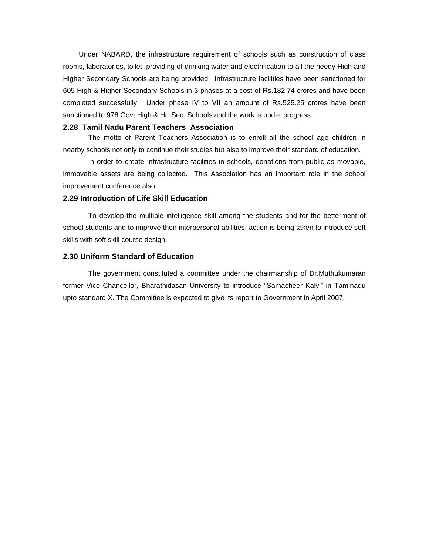Under NABARD, the infrastructure requirement of schools such as construction of class rooms, laboratories, toilet, providing of drinking water and electrification to all the needy High and Higher Secondary Schools are being provided. Infrastructure facilities have been sanctioned for 605 High & Higher Secondary Schools in 3 phases at a cost of Rs.182.74 crores and have been completed successfully. Under phase IV to VII an amount of Rs.525.25 crores have been sanctioned to 978 Govt High & Hr. Sec. Schools and the work is under progress.

#### **2.28 Tamil Nadu Parent Teachers Association**

The motto of Parent Teachers Association is to enroll all the school age children in nearby schools not only to continue their studies but also to improve their standard of education.

In order to create infrastructure facilities in schools, donations from public as movable, immovable assets are being collected. This Association has an important role in the school improvement conference also.

#### **2.29 Introduction of Life Skill Education**

 To develop the multiple intelligence skill among the students and for the betterment of school students and to improve their interpersonal abilities, action is being taken to introduce soft skills with soft skill course design.

### **2.30 Uniform Standard of Education**

 The government constituted a committee under the chairmanship of Dr.Muthukumaran former Vice Chancellor, Bharathidasan University to introduce "Samacheer Kalvi" in Taminadu upto standard X. The Committee is expected to give its report to Government in April 2007.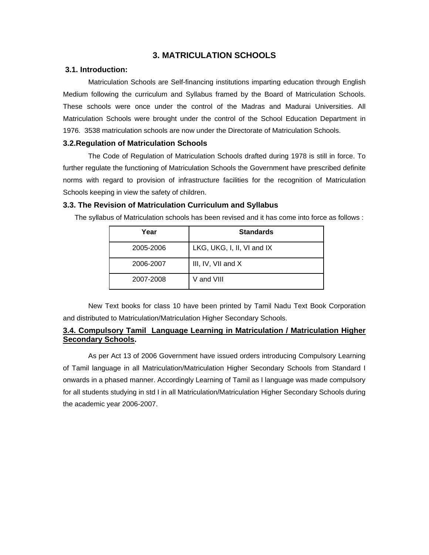## **3. MATRICULATION SCHOOLS**

## **3.1. Introduction:**

Matriculation Schools are Self-financing institutions imparting education through English Medium following the curriculum and Syllabus framed by the Board of Matriculation Schools. These schools were once under the control of the Madras and Madurai Universities. All Matriculation Schools were brought under the control of the School Education Department in 1976. 3538 matriculation schools are now under the Directorate of Matriculation Schools.

## **3.2.Regulation of Matriculation Schools**

The Code of Regulation of Matriculation Schools drafted during 1978 is still in force. To further regulate the functioning of Matriculation Schools the Government have prescribed definite norms with regard to provision of infrastructure facilities for the recognition of Matriculation Schools keeping in view the safety of children.

### **3.3. The Revision of Matriculation Curriculum and Syllabus**

The syllabus of Matriculation schools has been revised and it has come into force as follows :

| Year      | <b>Standards</b>           |
|-----------|----------------------------|
| 2005-2006 | LKG, UKG, I, II, VI and IX |
| 2006-2007 | III, IV, VII and X         |
| 2007-2008 | V and VIII                 |

New Text books for class 10 have been printed by Tamil Nadu Text Book Corporation and distributed to Matriculation/Matriculation Higher Secondary Schools.

## **3.4. Compulsory Tamil Language Learning in Matriculation / Matriculation Higher Secondary Schools.**

 As per Act 13 of 2006 Government have issued orders introducing Compulsory Learning of Tamil language in all Matriculation/Matriculation Higher Secondary Schools from Standard I onwards in a phased manner. Accordingly Learning of Tamil as I language was made compulsory for all students studying in std I in all Matriculation/Matriculation Higher Secondary Schools during the academic year 2006-2007.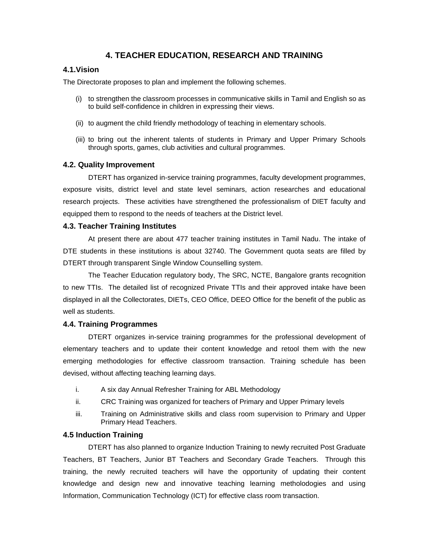## **4. TEACHER EDUCATION, RESEARCH AND TRAINING**

## **4.1.Vision**

The Directorate proposes to plan and implement the following schemes.

- (i) to strengthen the classroom processes in communicative skills in Tamil and English so as to build self-confidence in children in expressing their views.
- (ii) to augment the child friendly methodology of teaching in elementary schools.
- (iii) to bring out the inherent talents of students in Primary and Upper Primary Schools through sports, games, club activities and cultural programmes.

#### **4.2. Quality Improvement**

DTERT has organized in-service training programmes, faculty development programmes, exposure visits, district level and state level seminars, action researches and educational research projects. These activities have strengthened the professionalism of DIET faculty and equipped them to respond to the needs of teachers at the District level.

#### **4.3. Teacher Training Institutes**

 At present there are about 477 teacher training institutes in Tamil Nadu. The intake of DTE students in these institutions is about 32740. The Government quota seats are filled by DTERT through transparent Single Window Counselling system.

 The Teacher Education regulatory body, The SRC, NCTE, Bangalore grants recognition to new TTIs. The detailed list of recognized Private TTIs and their approved intake have been displayed in all the Collectorates, DIETs, CEO Office, DEEO Office for the benefit of the public as well as students.

#### **4.4. Training Programmes**

DTERT organizes in-service training programmes for the professional development of elementary teachers and to update their content knowledge and retool them with the new emerging methodologies for effective classroom transaction. Training schedule has been devised, without affecting teaching learning days.

- i. A six day Annual Refresher Training for ABL Methodology
- ii. CRC Training was organized for teachers of Primary and Upper Primary levels
- iii. Training on Administrative skills and class room supervision to Primary and Upper Primary Head Teachers.

#### **4.5 Induction Training**

DTERT has also planned to organize Induction Training to newly recruited Post Graduate Teachers, BT Teachers, Junior BT Teachers and Secondary Grade Teachers. Through this training, the newly recruited teachers will have the opportunity of updating their content knowledge and design new and innovative teaching learning metholodogies and using Information, Communication Technology (ICT) for effective class room transaction.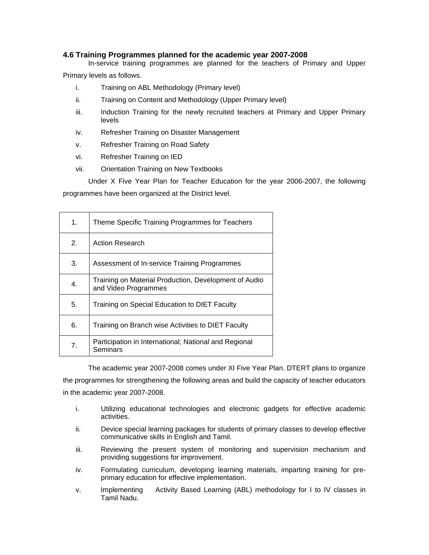## **4.6 Training Programmes planned for the academic year 2007-2008**

In-service training programmes are planned for the teachers of Primary and Upper

Primary levels as follows.

- i. Training on ABL Methodology (Primary level)
- ii. Training on Content and Methodology (Upper Primary level)
- iii. Induction Training for the newly recruited teachers at Primary and Upper Primary levels
- iv. Refresher Training on Disaster Management
- v. Refresher Training on Road Safety
- vi. Refresher Training on IED
- vii. Orientation Training on New Textbooks

Under X Five Year Plan for Teacher Education for the year 2006-2007, the following programmes have been organized at the District level.

| $\mathbf 1$ .    | Theme Specific Training Programmes for Teachers                               |
|------------------|-------------------------------------------------------------------------------|
| 2.               | Action Research                                                               |
| 3.               | Assessment of In-service Training Programmes                                  |
| $\overline{4}$ . | Training on Material Production, Development of Audio<br>and Video Programmes |
| 5.               | Training on Special Education to DIET Faculty                                 |
| 6.               | Training on Branch wise Activities to DIET Faculty                            |
| 7 <sub>1</sub>   | Participation in International; National and Regional<br>Seminars             |

The academic year 2007-2008 comes under XI Five Year Plan. DTERT plans to organize the programmes for strengthening the following areas and build the capacity of teacher educators in the academic year 2007-2008.

- i. Utilizing educational technologies and electronic gadgets for effective academic activities.
- ii. Device special learning packages for students of primary classes to develop effective communicative skills in English and Tamil.
- iii. Reviewing the present system of monitoring and supervision mechanism and providing suggestions for improvement.
- iv. Formulating curriculum, developing learning materials, imparting training for preprimary education for effective implementation.
- v. Implementing Activity Based Learning (ABL) methodology for I to IV classes in Tamil Nadu.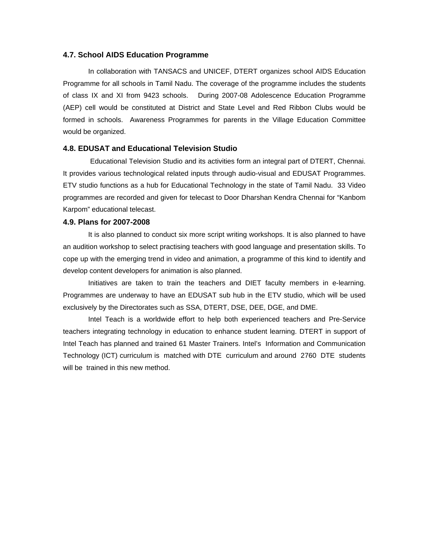#### **4.7. School AIDS Education Programme**

 In collaboration with TANSACS and UNICEF, DTERT organizes school AIDS Education Programme for all schools in Tamil Nadu. The coverage of the programme includes the students of class IX and XI from 9423 schools. During 2007-08 Adolescence Education Programme (AEP) cell would be constituted at District and State Level and Red Ribbon Clubs would be formed in schools. Awareness Programmes for parents in the Village Education Committee would be organized.

## **4.8. EDUSAT and Educational Television Studio**

 Educational Television Studio and its activities form an integral part of DTERT, Chennai. It provides various technological related inputs through audio-visual and EDUSAT Programmes. ETV studio functions as a hub for Educational Technology in the state of Tamil Nadu. 33 Video programmes are recorded and given for telecast to Door Dharshan Kendra Chennai for "Kanbom Karpom" educational telecast.

#### **4.9. Plans for 2007-2008**

 It is also planned to conduct six more script writing workshops. It is also planned to have an audition workshop to select practising teachers with good language and presentation skills. To cope up with the emerging trend in video and animation, a programme of this kind to identify and develop content developers for animation is also planned.

 Initiatives are taken to train the teachers and DIET faculty members in e-learning. Programmes are underway to have an EDUSAT sub hub in the ETV studio, which will be used exclusively by the Directorates such as SSA, DTERT, DSE, DEE, DGE, and DME.

 Intel Teach is a worldwide effort to help both experienced teachers and Pre-Service teachers integrating technology in education to enhance student learning. DTERT in support of Intel Teach has planned and trained 61 Master Trainers. Intel's Information and Communication Technology (ICT) curriculum is matched with DTE curriculum and around 2760 DTE students will be trained in this new method.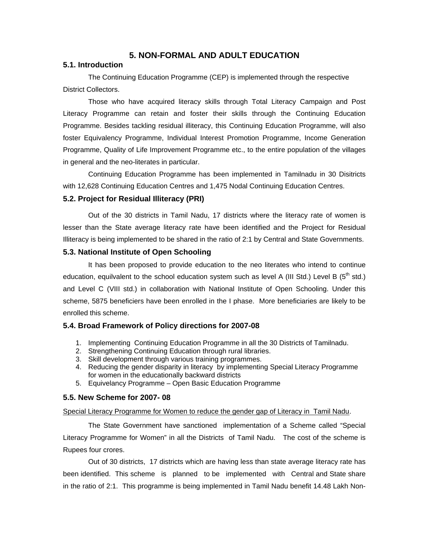## **5. NON-FORMAL AND ADULT EDUCATION**

## **5.1. Introduction**

 The Continuing Education Programme (CEP) is implemented through the respective District Collectors.

 Those who have acquired literacy skills through Total Literacy Campaign and Post Literacy Programme can retain and foster their skills through the Continuing Education Programme. Besides tackling residual illiteracy, this Continuing Education Programme, will also foster Equivalency Programme, Individual Interest Promotion Programme, Income Generation Programme, Quality of Life Improvement Programme etc., to the entire population of the villages in general and the neo-literates in particular.

 Continuing Education Programme has been implemented in Tamilnadu in 30 Disitricts with 12,628 Continuing Education Centres and 1,475 Nodal Continuing Education Centres.

### **5.2. Project for Residual Illiteracy (PRI)**

 Out of the 30 districts in Tamil Nadu, 17 districts where the literacy rate of women is lesser than the State average literacy rate have been identified and the Project for Residual Illiteracy is being implemented to be shared in the ratio of 2:1 by Central and State Governments.

### **5.3. National Institute of Open Schooling**

 It has been proposed to provide education to the neo literates who intend to continue education, equilvalent to the school education system such as level A (III Std.) Level B ( $5<sup>th</sup>$  std.) and Level C (VIII std.) in collaboration with National Institute of Open Schooling. Under this scheme, 5875 beneficiers have been enrolled in the I phase. More beneficiaries are likely to be enrolled this scheme.

## **5.4. Broad Framework of Policy directions for 2007-08**

- 1. Implementing Continuing Education Programme in all the 30 Districts of Tamilnadu.
- 2. Strengthening Continuing Education through rural libraries.
- 3. Skill development through various training programmes.
- 4. Reducing the gender disparity in literacy by implementing Special Literacy Programme for women in the educationally backward districts
- 5. Equivelancy Programme Open Basic Education Programme

## **5.5. New Scheme for 2007- 08**

#### Special Literacy Programme for Women to reduce the gender gap of Literacy in Tamil Nadu.

The State Government have sanctioned implementation of a Scheme called "Special Literacy Programme for Women" in all the Districts of Tamil Nadu. The cost of the scheme is Rupees four crores.

Out of 30 districts, 17 districts which are having less than state average literacy rate has been identified. This scheme is planned to be implemented with Central and State share in the ratio of 2:1. This programme is being implemented in Tamil Nadu benefit 14.48 Lakh Non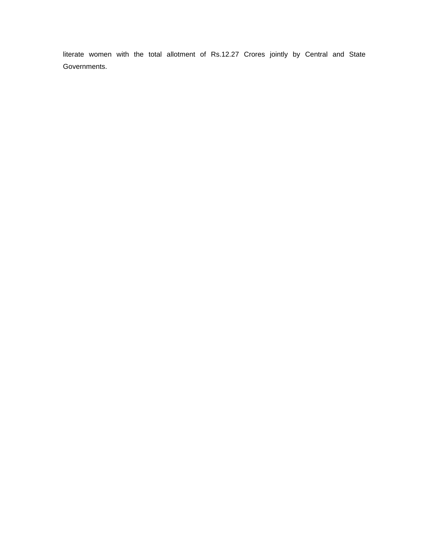literate women with the total allotment of Rs.12.27 Crores jointly by Central and State Governments.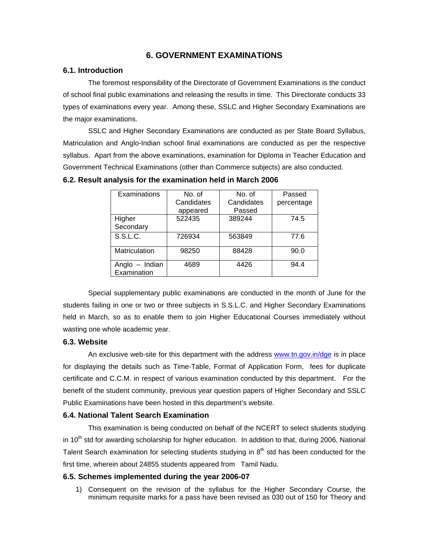## **6. GOVERNMENT EXAMINATIONS**

## **6.1. Introduction**

 The foremost responsibility of the Directorate of Government Examinations is the conduct of school final public examinations and releasing the results in time. This Directorate conducts 33 types of examinations every year. Among these, SSLC and Higher Secondary Examinations are the major examinations.

 SSLC and Higher Secondary Examinations are conducted as per State Board Syllabus, Matriculation and Anglo-Indian school final examinations are conducted as per the respective syllabus. Apart from the above examinations, examination for Diploma in Teacher Education and Government Technical Examinations (other than Commerce subjects) are also conducted.

| Examinations   | No. of     | No. of     | Passed     |
|----------------|------------|------------|------------|
|                | Candidates | Candidates | percentage |
|                | appeared   | Passed     |            |
| Higher         | 522435     | 389244     | 74.5       |
| Secondary      |            |            |            |
| S.S.L.C.       | 726934     | 563849     | 77.6       |
| Matriculation  | 98250      | 88428      | 90.0       |
|                |            |            |            |
| Anglo - Indian | 4689       | 4426       | 94.4       |
| Examination    |            |            |            |

**6.2. Result analysis for the examination held in March 2006** 

 Special supplementary public examinations are conducted in the month of June for the students failing in one or two or three subjects in S.S.L.C. and Higher Secondary Examinations held in March, so as to enable them to join Higher Educational Courses immediately without wasting one whole academic year.

#### **6.3. Website**

An exclusive web-site for this department with the address www.tn.gov.in/dge is in place for displaying the details such as Time-Table, Format of Application Form, fees for duplicate certificate and C.C.M. in respect of various examination conducted by this department. For the benefit of the student community, previous year question papers of Higher Secondary and SSLC Public Examinations have been hosted in this department's website.

#### **6.4. National Talent Search Examination**

 This examination is being conducted on behalf of the NCERT to select students studying in 10<sup>th</sup> std for awarding scholarship for higher education. In addition to that, during 2006, National Talent Search examination for selecting students studying in  $8<sup>th</sup>$  std has been conducted for the first time, wherein about 24855 students appeared from Tamil Nadu.

#### **6.5. Schemes implemented during the year 2006-07**

1) Consequent on the revision of the syllabus for the Higher Secondary Course, the minimum requisite marks for a pass have been revised as 030 out of 150 for Theory and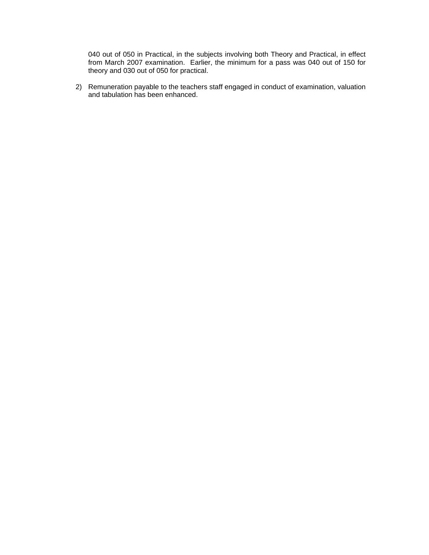040 out of 050 in Practical, in the subjects involving both Theory and Practical, in effect from March 2007 examination. Earlier, the minimum for a pass was 040 out of 150 for theory and 030 out of 050 for practical.

2) Remuneration payable to the teachers staff engaged in conduct of examination, valuation and tabulation has been enhanced.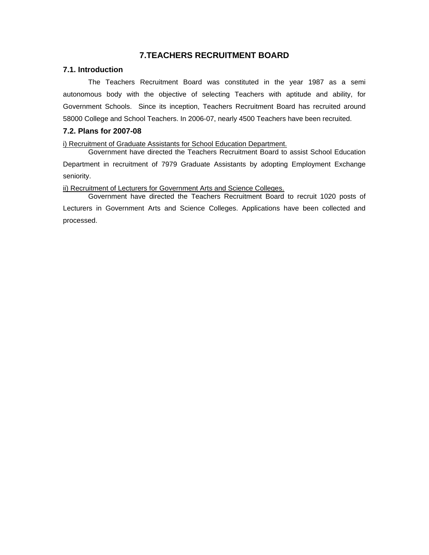# **7.TEACHERS RECRUITMENT BOARD**

## **7.1. Introduction**

 The Teachers Recruitment Board was constituted in the year 1987 as a semi autonomous body with the objective of selecting Teachers with aptitude and ability, for Government Schools. Since its inception, Teachers Recruitment Board has recruited around 58000 College and School Teachers. In 2006-07, nearly 4500 Teachers have been recruited.

## **7.2. Plans for 2007-08**

i) Recruitment of Graduate Assistants for School Education Department.

 Government have directed the Teachers Recruitment Board to assist School Education Department in recruitment of 7979 Graduate Assistants by adopting Employment Exchange seniority.

ii) Recruitment of Lecturers for Government Arts and Science Colleges.

 Government have directed the Teachers Recruitment Board to recruit 1020 posts of Lecturers in Government Arts and Science Colleges. Applications have been collected and processed.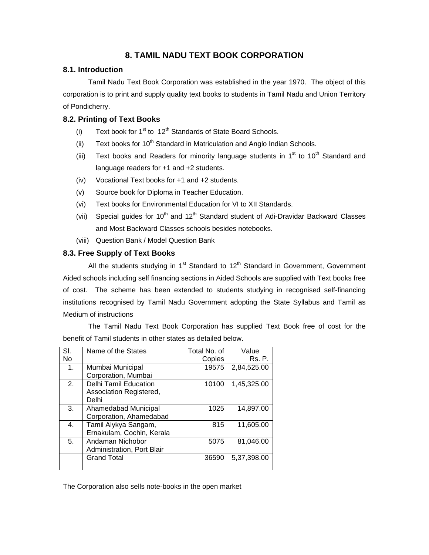# **8. TAMIL NADU TEXT BOOK CORPORATION**

## **8.1. Introduction**

 Tamil Nadu Text Book Corporation was established in the year 1970. The object of this corporation is to print and supply quality text books to students in Tamil Nadu and Union Territory of Pondicherry.

## **8.2. Printing of Text Books**

- (i) Text book for  $1<sup>st</sup>$  to  $12<sup>th</sup>$  Standards of State Board Schools.
- (ii) Text books for  $10^{th}$  Standard in Matriculation and Anglo Indian Schools.
- (iii) Text books and Readers for minority language students in  $1<sup>st</sup>$  to  $10<sup>th</sup>$  Standard and language readers for +1 and +2 students.
- (iv) Vocational Text books for +1 and +2 students.
- (v) Source book for Diploma in Teacher Education.
- (vi) Text books for Environmental Education for VI to XII Standards.
- (vii) Special guides for  $10<sup>th</sup>$  and  $12<sup>th</sup>$  Standard student of Adi-Dravidar Backward Classes and Most Backward Classes schools besides notebooks.
- (viii) Question Bank / Model Question Bank

## **8.3. Free Supply of Text Books**

All the students studying in  $1<sup>st</sup>$  Standard to  $12<sup>th</sup>$  Standard in Government, Government Aided schools including self financing sections in Aided Schools are supplied with Text books free of cost. The scheme has been extended to students studying in recognised self-financing institutions recognised by Tamil Nadu Government adopting the State Syllabus and Tamil as Medium of instructions

 The Tamil Nadu Text Book Corporation has supplied Text Book free of cost for the benefit of Tamil students in other states as detailed below.

| SI.            | Name of the States           | Total No. of | Value       |
|----------------|------------------------------|--------------|-------------|
| No             |                              | Copies       | Rs. P.      |
| 1 <sub>1</sub> | Mumbai Municipal             | 19575        | 2,84,525.00 |
|                | Corporation, Mumbai          |              |             |
| 2.             | <b>Delhi Tamil Education</b> | 10100        | 1,45,325.00 |
|                | Association Registered,      |              |             |
|                | Delhi                        |              |             |
| 3.             | Ahamedabad Municipal         | 1025         | 14,897.00   |
|                | Corporation, Ahamedabad      |              |             |
| 4.             | Tamil Alykya Sangam,         | 815          | 11,605.00   |
|                | Ernakulam, Cochin, Kerala    |              |             |
| 5.             | Andaman Nichobor             | 5075         | 81,046.00   |
|                | Administration, Port Blair   |              |             |
|                | <b>Grand Total</b>           | 36590        | 5,37,398.00 |
|                |                              |              |             |

The Corporation also sells note-books in the open market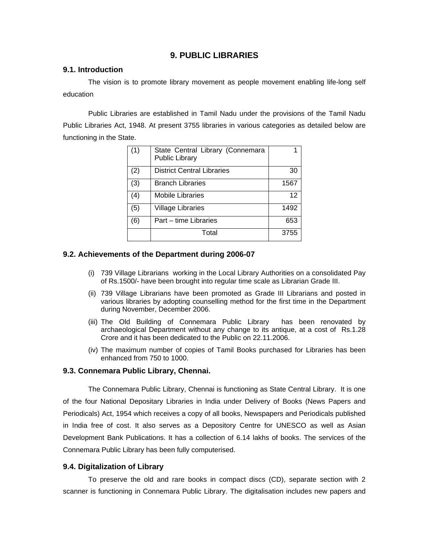## **9. PUBLIC LIBRARIES**

#### **9.1. Introduction**

 The vision is to promote library movement as people movement enabling life-long self education

 Public Libraries are established in Tamil Nadu under the provisions of the Tamil Nadu Public Libraries Act, 1948. At present 3755 libraries in various categories as detailed below are functioning in the State.

| (1) | State Central Library (Connemara<br>Public Library |      |
|-----|----------------------------------------------------|------|
| (2) | <b>District Central Libraries</b>                  | 30   |
| (3) | <b>Branch Libraries</b>                            | 1567 |
| (4) | Mobile Libraries                                   | 12   |
| (5) | <b>Village Libraries</b>                           | 1492 |
| (6) | Part – time Libraries                              | 653  |
|     | Total                                              | 3755 |

## **9.2. Achievements of the Department during 2006-07**

- (i) 739 Village Librarians working in the Local Library Authorities on a consolidated Pay of Rs.1500/- have been brought into regular time scale as Librarian Grade III.
- (ii) 739 Village Librarians have been promoted as Grade III Librarians and posted in various libraries by adopting counselling method for the first time in the Department during November, December 2006.
- (iii) The Old Building of Connemara Public Library has been renovated by archaeological Department without any change to its antique, at a cost of Rs.1.28 Crore and it has been dedicated to the Public on 22.11.2006.
- (iv) The maximum number of copies of Tamil Books purchased for Libraries has been enhanced from 750 to 1000.

#### **9.3. Connemara Public Library, Chennai.**

 The Connemara Public Library, Chennai is functioning as State Central Library. It is one of the four National Depositary Libraries in India under Delivery of Books (News Papers and Periodicals) Act, 1954 which receives a copy of all books, Newspapers and Periodicals published in India free of cost. It also serves as a Depository Centre for UNESCO as well as Asian Development Bank Publications. It has a collection of 6.14 lakhs of books. The services of the Connemara Public Library has been fully computerised.

#### **9.4. Digitalization of Library**

 To preserve the old and rare books in compact discs (CD), separate section with 2 scanner is functioning in Connemara Public Library. The digitalisation includes new papers and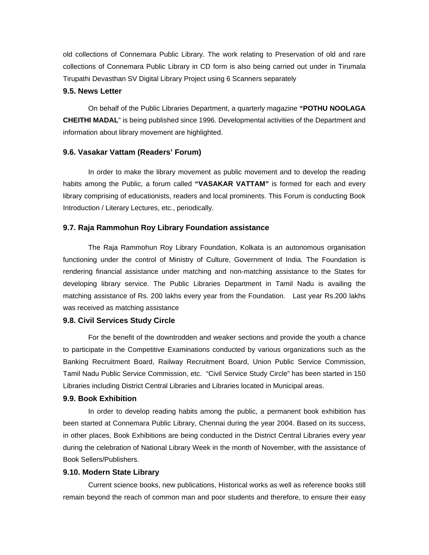old collections of Connemara Public Library. The work relating to Preservation of old and rare collections of Connemara Public Library in CD form is also being carried out under in Tirumala Tirupathi Devasthan SV Digital Library Project using 6 Scanners separately

#### **9.5. News Letter**

On behalf of the Public Libraries Department, a quarterly magazine **"POTHU NOOLAGA CHEITHI MADAL**" is being published since 1996. Developmental activities of the Department and information about library movement are highlighted.

#### **9.6. Vasakar Vattam (Readers' Forum)**

 In order to make the library movement as public movement and to develop the reading habits among the Public, a forum called **"VASAKAR VATTAM"** is formed for each and every library comprising of educationists, readers and local prominents. This Forum is conducting Book Introduction / Literary Lectures, etc., periodically.

#### **9.7. Raja Rammohun Roy Library Foundation assistance**

 The Raja Rammohun Roy Library Foundation, Kolkata is an autonomous organisation functioning under the control of Ministry of Culture, Government of India. The Foundation is rendering financial assistance under matching and non-matching assistance to the States for developing library service. The Public Libraries Department in Tamil Nadu is availing the matching assistance of Rs. 200 lakhs every year from the Foundation. Last year Rs.200 lakhs was received as matching assistance

#### **9.8. Civil Services Study Circle**

 For the benefit of the downtrodden and weaker sections and provide the youth a chance to participate in the Competitive Examinations conducted by various organizations such as the Banking Recruitment Board, Railway Recruitment Board, Union Public Service Commission, Tamil Nadu Public Service Commission, etc. "Civil Service Study Circle" has been started in 150 Libraries including District Central Libraries and Libraries located in Municipal areas.

#### **9.9. Book Exhibition**

 In order to develop reading habits among the public, a permanent book exhibition has been started at Connemara Public Library, Chennai during the year 2004. Based on its success, in other places, Book Exhibitions are being conducted in the District Central Libraries every year during the celebration of National Library Week in the month of November, with the assistance of Book Sellers/Publishers.

#### **9.10. Modern State Library**

 Current science books, new publications, Historical works as well as reference books still remain beyond the reach of common man and poor students and therefore, to ensure their easy